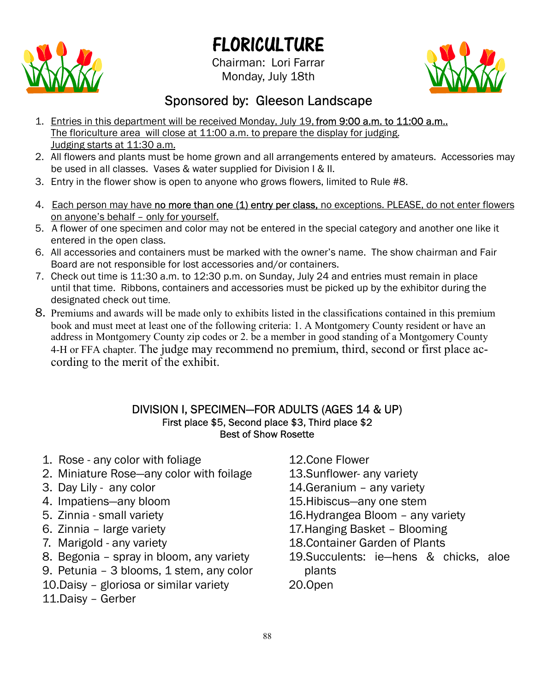# FLORICULTURE



Chairman: Lori Farrar Monday, July 18th



# Sponsored by: Gleeson Landscape

- 1. Entries in this department will be received Monday, July 19, from 9:00 a.m. to 11:00 a.m.. The floriculture area will close at 11:00 a.m. to prepare the display for judging. Judging starts at 11:30 a.m.
- 2. All flowers and plants must be home grown and all arrangements entered by amateurs. Accessories may be used in all classes. Vases & water supplied for Division I & II.
- 3. Entry in the flower show is open to anyone who grows flowers, limited to Rule #8.
- 4. Each person may have no more than one (1) entry per class, no exceptions. PLEASE, do not enter flowers on anyone's behalf – only for yourself.
- 5. A flower of one specimen and color may not be entered in the special category and another one like it entered in the open class.
- 6. All accessories and containers must be marked with the owner's name. The show chairman and Fair Board are not responsible for lost accessories and/or containers.
- 7. Check out time is 11:30 a.m. to 12:30 p.m. on Sunday, July 24 and entries must remain in place until that time. Ribbons, containers and accessories must be picked up by the exhibitor during the designated check out time
- 8. Premiums and awards will be made only to exhibits listed in the classifications contained in this premium book and must meet at least one of the following criteria: 1. A Montgomery County resident or have an address in Montgomery County zip codes or 2. be a member in good standing of a Montgomery County 4-H or FFA chapter. The judge may recommend no premium, third, second or first place according to the merit of the exhibit.

#### DIVISION I, SPECIMEN—FOR ADULTS (AGES 14 & UP) First place \$5, Second place \$3, Third place \$2 Best of Show Rosette

- 1. Rose any color with foliage
- 2. Miniature Rose—any color with foilage
- 3. Day Lily any color
- 4. Impatiens—any bloom
- 5. Zinnia small variety
- 6. Zinnia large variety
- 7. Marigold any variety
- 8. Begonia spray in bloom, any variety
- 9. Petunia 3 blooms, 1 stem, any color
- 10.Daisy gloriosa or similar variety
- 11.Daisy Gerber
- 12.Cone Flower
- 13.Sunflower- any variety
- 14.Geranium any variety
- 15.Hibiscus—any one stem
- 16.Hydrangea Bloom any variety
- 17.Hanging Basket Blooming
- 18.Container Garden of Plants
- 19.Succulents: ie—hens & chicks, aloe plants
- 20.Open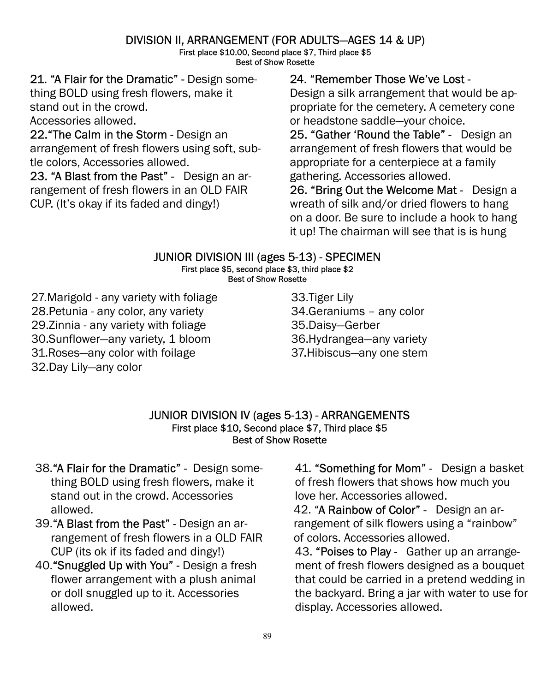# DIVISION II, ARRANGEMENT (FOR ADULTS—AGES 14 & UP)

First place \$10.00, Second place \$7, Third place \$5 Best of Show Rosette

21. "A Flair for the Dramatic" - Design something BOLD using fresh flowers, make it stand out in the crowd.

Accessories allowed.

22."The Calm in the Storm - Design an arrangement of fresh flowers using soft, subtle colors, Accessories allowed.

23. "A Blast from the Past" - Design an arrangement of fresh flowers in an OLD FAIR CUP. (It's okay if its faded and dingy!)

### 24. "Remember Those We've Lost -

Design a silk arrangement that would be appropriate for the cemetery. A cemetery cone or headstone saddle—your choice.

25. "Gather 'Round the Table" - Design an arrangement of fresh flowers that would be appropriate for a centerpiece at a family gathering. Accessories allowed.

26. "Bring Out the Welcome Mat - Design a wreath of silk and/or dried flowers to hang on a door. Be sure to include a hook to hang it up! The chairman will see that is is hung

## JUNIOR DIVISION III (ages 5-13) - SPECIMEN

#### First place \$5, second place \$3, third place \$2 Best of Show Rosette

27.Marigold - any variety with foliage 28.Petunia - any color, any variety 29.Zinnia - any variety with foliage 30.Sunflower—any variety, 1 bloom 31.Roses—any color with foilage 32.Day Lily—any color

33.Tiger Lily 34.Geraniums – any color 35.Daisy—Gerber 36.Hydrangea—any variety 37.Hibiscus—any one stem

JUNIOR DIVISION IV (ages 5-13) - ARRANGEMENTS First place \$10, Second place \$7, Third place \$5 Best of Show Rosette

- 38."A Flair for the Dramatic" Design something BOLD using fresh flowers, make it stand out in the crowd. Accessories allowed.
- 39."A Blast from the Past" Design an arrangement of fresh flowers in a OLD FAIR CUP (its ok if its faded and dingy!)
- 40."Snuggled Up with You" Design a fresh flower arrangement with a plush animal or doll snuggled up to it. Accessories allowed.

41. "Something for Mom" - Design a basket of fresh flowers that shows how much you love her. Accessories allowed.

42. "A Rainbow of Color" - Design an arrangement of silk flowers using a "rainbow" of colors. Accessories allowed.

43. "Poises to Play - Gather up an arrangement of fresh flowers designed as a bouquet that could be carried in a pretend wedding in the backyard. Bring a jar with water to use for display. Accessories allowed.